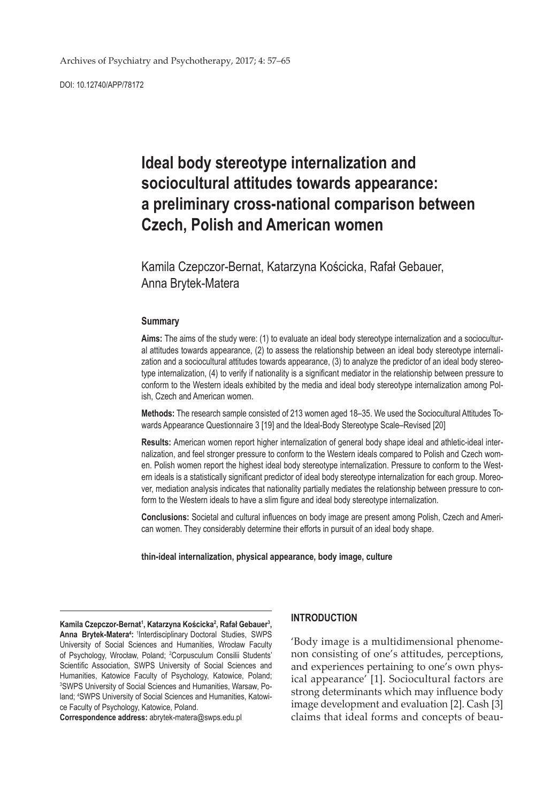DOI: 10.12740/APP/78172

# **Ideal body stereotype internalization and sociocultural attitudes towards appearance: a preliminary cross-national comparison between Czech, Polish and American women**

Kamila Czepczor-Bernat, Katarzyna Kościcka, Rafał Gebauer, Anna Brytek-Matera

#### **Summary**

**Aims:** The aims of the study were: (1) to evaluate an ideal body stereotype internalization and a sociocultural attitudes towards appearance, (2) to assess the relationship between an ideal body stereotype internalization and a sociocultural attitudes towards appearance, (3) to analyze the predictor of an ideal body stereotype internalization, (4) to verify if nationality is a significant mediator in the relationship between pressure to conform to the Western ideals exhibited by the media and ideal body stereotype internalization among Polish, Czech and American women.

**Methods:** The research sample consisted of 213 women aged 18–35. We used the Sociocultural Attitudes Towards Appearance Questionnaire 3 [19] and the Ideal-Body Stereotype Scale–Revised [20]

**Results:** American women report higher internalization of general body shape ideal and athletic-ideal internalization, and feel stronger pressure to conform to the Western ideals compared to Polish and Czech women. Polish women report the highest ideal body stereotype internalization. Pressure to conform to the Western ideals is a statistically significant predictor of ideal body stereotype internalization for each group. Moreover, mediation analysis indicates that nationality partially mediates the relationship between pressure to conform to the Western ideals to have a slim figure and ideal body stereotype internalization.

**Conclusions:** Societal and cultural influences on body image are present among Polish, Czech and American women. They considerably determine their efforts in pursuit of an ideal body shape.

#### **thin-ideal internalization, physical appearance, body image, culture**

**Kamila Czepczor-Bernat1 , Katarzyna Kościcka<sup>2</sup> , Rafał Gebauer<sup>3</sup> ,**  Anna Brytek-Matera<sup>4</sup>: <sup>1</sup>Interdisciplinary Doctoral Studies, SWPS University of Social Sciences and Humanities, Wrocław Faculty of Psychology, Wrocław, Poland; 2 Corpusculum Consilii Students' Scientific Association, SWPS University of Social Sciences and Humanities, Katowice Faculty of Psychology, Katowice, Poland; 3 SWPS University of Social Sciences and Humanities, Warsaw, Poland; 4 SWPS University of Social Sciences and Humanities, Katowice Faculty of Psychology, Katowice, Poland.

**Correspondence address:** abrytek-matera@swps.edu.pl

#### **INTRODUCTION**

'Body image is a multidimensional phenomenon consisting of one's attitudes, perceptions, and experiences pertaining to one's own physical appearance' [1]. Sociocultural factors are strong determinants which may influence body image development and evaluation [2]. Cash [3] claims that ideal forms and concepts of beau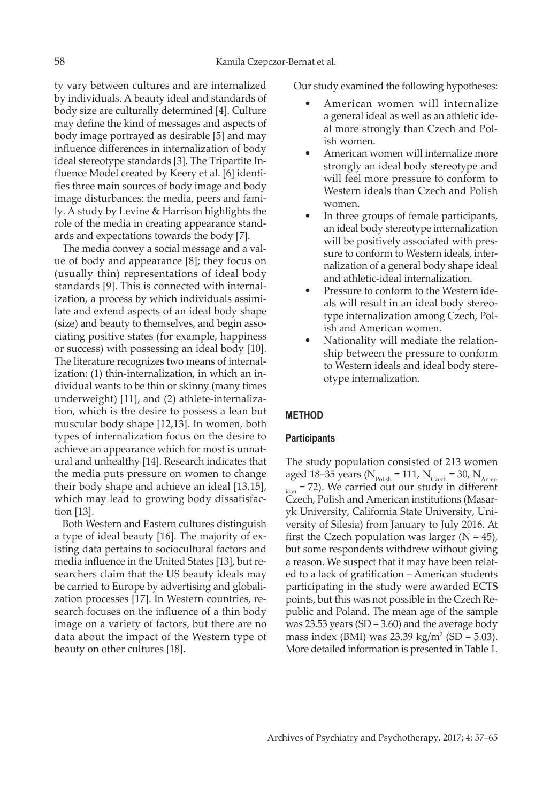ty vary between cultures and are internalized by individuals. A beauty ideal and standards of body size are culturally determined [4]. Culture may define the kind of messages and aspects of body image portrayed as desirable [5] and may influence differences in internalization of body ideal stereotype standards [3]. The Tripartite Influence Model created by Keery et al. [6] identifies three main sources of body image and body image disturbances: the media, peers and family. A study by Levine & Harrison highlights the role of the media in creating appearance standards and expectations towards the body [7].

The media convey a social message and a value of body and appearance [8]; they focus on (usually thin) representations of ideal body standards [9]. This is connected with internalization, a process by which individuals assimilate and extend aspects of an ideal body shape (size) and beauty to themselves, and begin associating positive states (for example, happiness or success) with possessing an ideal body [10]. The literature recognizes two means of internalization: (1) thin-internalization, in which an individual wants to be thin or skinny (many times underweight) [11], and (2) athlete-internalization, which is the desire to possess a lean but muscular body shape [12,13]. In women, both types of internalization focus on the desire to achieve an appearance which for most is unnatural and unhealthy [14]. Research indicates that the media puts pressure on women to change their body shape and achieve an ideal [13,15], which may lead to growing body dissatisfaction [13].

Both Western and Eastern cultures distinguish a type of ideal beauty [16]. The majority of existing data pertains to sociocultural factors and media influence in the United States [13], but researchers claim that the US beauty ideals may be carried to Europe by advertising and globalization processes [17]. In Western countries, research focuses on the influence of a thin body image on a variety of factors, but there are no data about the impact of the Western type of beauty on other cultures [18].

Our study examined the following hypotheses:

- American women will internalize a general ideal as well as an athletic ideal more strongly than Czech and Polish women.
- American women will internalize more strongly an ideal body stereotype and will feel more pressure to conform to Western ideals than Czech and Polish women.
- In three groups of female participants, an ideal body stereotype internalization will be positively associated with pressure to conform to Western ideals, internalization of a general body shape ideal and athletic-ideal internalization.
- Pressure to conform to the Western ideals will result in an ideal body stereotype internalization among Czech, Polish and American women.
- Nationality will mediate the relationship between the pressure to conform to Western ideals and ideal body stereotype internalization.

# **METHOD**

## **Participants**

The study population consisted of 213 women aged 18–35 years ( $N_{\text{Polish}} = 111$ ,  $N_{\text{Czech}} = 30$ ,  $N_{\text{Amer}}$  $i<sub>can</sub>$  = 72). We carried out our study in different Czech, Polish and American institutions (Masaryk University, California State University, University of Silesia) from January to July 2016. At first the Czech population was larger  $(N = 45)$ , but some respondents withdrew without giving a reason. We suspect that it may have been related to a lack of gratification – American students participating in the study were awarded ECTS points, but this was not possible in the Czech Republic and Poland. The mean age of the sample was 23.53 years (SD = 3.60) and the average body mass index (BMI) was  $23.39 \text{ kg/m}^2 \text{ (SD} = 5.03)$ . More detailed information is presented in Table 1.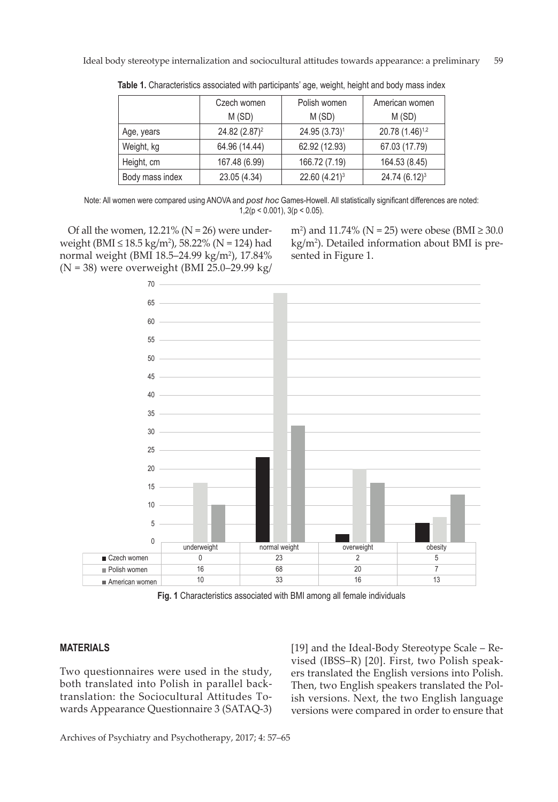|                 | Czech women<br>M(SD)      | Polish women<br>M(SD)     | American women<br>M(SD)     |
|-----------------|---------------------------|---------------------------|-----------------------------|
| Age, years      | 24.82 (2.87) <sup>2</sup> | 24.95 (3.73) <sup>1</sup> | 20.78 (1.46) <sup>1,2</sup> |
| Weight, kg      | 64.96 (14.44)             | 62.92 (12.93)             | 67.03 (17.79)               |
| Height, cm      | 167.48 (6.99)             | 166.72 (7.19)             | 164.53 (8.45)               |
| Body mass index | 23.05 (4.34)              | 22.60 (4.21) <sup>3</sup> | $24.74(6.12)^3$             |

**Table 1.** Characteristics associated with participants' age, weight, height and body mass index

Note: All women were compared using ANOVA and *post hoc* Games-Howell. All statistically significant differences are noted:  $1,2(p < 0.001)$ ,  $3(p < 0.05)$ .

Of all the women,  $12.21\%$  (N = 26) were underweight (BMI ≤ 18.5 kg/m<sup>2</sup> ), 58.22% (N = 124) had normal weight (BMI 18.5–24.99 kg/m<sup>2</sup> ), 17.84% (N = 38) were overweight (BMI 25.0–29.99 kg/

m<sup>2</sup>) and 11.74% (N = 25) were obese (BMI ≥ 30.0 kg/m2 ). Detailed information about BMI is presented in Figure 1.



**Fig. 1** Characteristics associated with BMI among all female individuals

# **MATERIALS**

Two questionnaires were used in the study, both translated into Polish in parallel backtranslation: the Sociocultural Attitudes Towards Appearance Questionnaire 3 (SATAQ-3) [19] and the Ideal-Body Stereotype Scale – Revised (IBSS–R) [20]. First, two Polish speakers translated the English versions into Polish. Then, two English speakers translated the Polish versions. Next, the two English language versions were compared in order to ensure that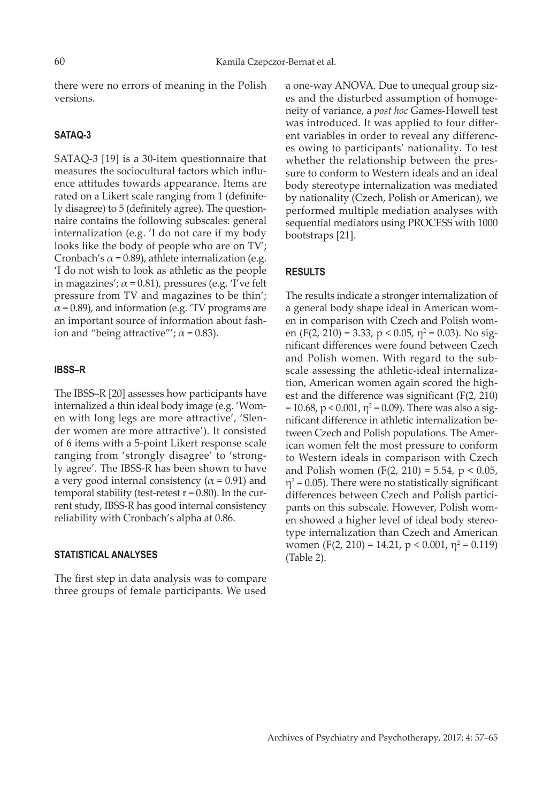there were no errors of meaning in the Polish versions.

## **SATAQ-3**

SATAQ-3 [19] is a 30-item questionnaire that measures the sociocultural factors which influence attitudes towards appearance. Items are rated on a Likert scale ranging from 1 (definitely disagree) to 5 (definitely agree). The questionnaire contains the following subscales: general internalization (e.g. 'I do not care if my body looks like the body of people who are on TV'; Cronbach's  $\alpha$  = 0.89), athlete internalization (e.g. 'I do not wish to look as athletic as the people in magazines';  $\alpha$  = 0.81), pressures (e.g. 'I've felt pressure from TV and magazines to be thin';  $\alpha$  = 0.89), and information (e.g. 'TV programs are an important source of information about fashion and "being attractive"';  $\alpha$  = 0.83).

#### **IBSS–R**

The IBSS–R [20] assesses how participants have internalized a thin ideal body image (e.g. 'Women with long legs are more attractive', 'Slender women are more attractive'). It consisted of 6 items with a 5-point Likert response scale ranging from 'strongly disagree' to 'strongly agree'. The IBSS-R has been shown to have a very good internal consistency ( $\alpha$  = 0.91) and temporal stability (test-retest  $r = 0.80$ ). In the current study, IBSS-R has good internal consistency reliability with Cronbach's alpha at 0.86.

# **STATISTICAL ANALYSES**

The first step in data analysis was to compare three groups of female participants. We used a one-way ANOVA. Due to unequal group sizes and the disturbed assumption of homogeneity of variance, a *post hoc* Games-Howell test was introduced. It was applied to four different variables in order to reveal any differences owing to participants' nationality. To test whether the relationship between the pressure to conform to Western ideals and an ideal body stereotype internalization was mediated by nationality (Czech, Polish or American), we performed multiple mediation analyses with sequential mediators using PROCESS with 1000 bootstraps [21].

# **RESULTS**

The results indicate a stronger internalization of a general body shape ideal in American women in comparison with Czech and Polish women (F(2, 210) = 3.33, p < 0.05,  $\eta^2$  = 0.03). No significant differences were found between Czech and Polish women. With regard to the subscale assessing the athletic-ideal internalization, American women again scored the highest and the difference was significant (F(2, 210) = 10.68, p < 0.001,  $\eta$ <sup>2</sup> = 0.09). There was also a significant difference in athletic internalization between Czech and Polish populations. The American women felt the most pressure to conform to Western ideals in comparison with Czech and Polish women (F(2, 210) = 5.54,  $p < 0.05$ ,  $\eta^2$  = 0.05). There were no statistically significant differences between Czech and Polish participants on this subscale. However, Polish women showed a higher level of ideal body stereotype internalization than Czech and American women (F(2, 210) = 14.21,  $p < 0.001$ ,  $\eta^2 = 0.119$ ) (Table 2).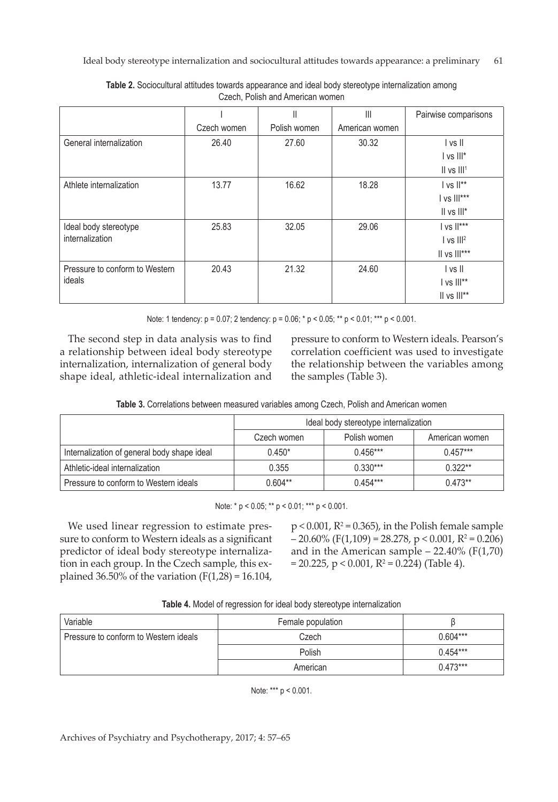|                                |             | $\mathsf{I}$ | $\begin{array}{c} \hline \end{array}$ | Pairwise comparisons            |
|--------------------------------|-------------|--------------|---------------------------------------|---------------------------------|
|                                | Czech women | Polish women | American women                        |                                 |
| General internalization        | 26.40       | 27.60        | 30.32                                 | I vs II                         |
|                                |             |              |                                       | $\frac{1}{5}$ vs $\frac{11}{5}$ |
|                                |             |              |                                       | $II$ vs $III1$                  |
| Athlete internalization        | 13.77       | 16.62        | 18.28                                 | $ $ vs $  ^{**}$                |
|                                |             |              |                                       | I vs III***                     |
|                                |             |              |                                       | II vs III*                      |
| Ideal body stereotype          | 25.83       | 32.05        | 29.06                                 | I vs II***                      |
| internalization                |             |              |                                       | $ vs   ^2$                      |
|                                |             |              |                                       | $II$ vs $III***$                |
| Pressure to conform to Western | 20.43       | 21.32        | 24.60                                 | I vs II                         |
| ideals                         |             |              |                                       | I vs III**                      |
|                                |             |              |                                       | II vs III**                     |

**Table 2.** Sociocultural attitudes towards appearance and ideal body stereotype internalization among Czech, Polish and American women

Note: 1 tendency: p = 0.07; 2 tendency: p = 0.06; \* p < 0.05; \*\* p < 0.01; \*\*\* p < 0.001.

The second step in data analysis was to find a relationship between ideal body stereotype internalization, internalization of general body shape ideal, athletic-ideal internalization and pressure to conform to Western ideals. Pearson's correlation coefficient was used to investigate the relationship between the variables among the samples (Table 3).

|                                             | Ideal body stereotype internalization |              |                |
|---------------------------------------------|---------------------------------------|--------------|----------------|
|                                             | Czech women                           | Polish women | American women |
| Internalization of general body shape ideal | $0.450*$                              | $0.456***$   | $0.457***$     |
| Athletic-ideal internalization              | 0.355                                 | $0.330***$   | $0.322**$      |
| Pressure to conform to Western ideals       | $0.604**$                             | $0.454***$   | $0.473**$      |

Note: \* p < 0.05; \*\* p < 0.01; \*\*\* p < 0.001.

We used linear regression to estimate pressure to conform to Western ideals as a significant predictor of ideal body stereotype internalization in each group. In the Czech sample, this explained 36.50% of the variation (F(1,28) = 16.104,

 $p < 0.001$ ,  $R^2 = 0.365$ ), in the Polish female sample  $-20.60\%$  (F(1,109) = 28.278, p < 0.001, R<sup>2</sup> = 0.206) and in the American sample  $-22.40\%$  (F(1,70)  $= 20.225$ , p < 0.001, R<sup>2</sup> = 0.224) (Table 4).

| Table 4. Model of regression for ideal body stereotype internalization |  |
|------------------------------------------------------------------------|--|
|------------------------------------------------------------------------|--|

| Variable                              | Female population |            |
|---------------------------------------|-------------------|------------|
| Pressure to conform to Western ideals | Czech             | $0.604***$ |
|                                       | Polish            | $0.454***$ |
|                                       | American          | $0.473***$ |

Note: \*\*\* p < 0.001.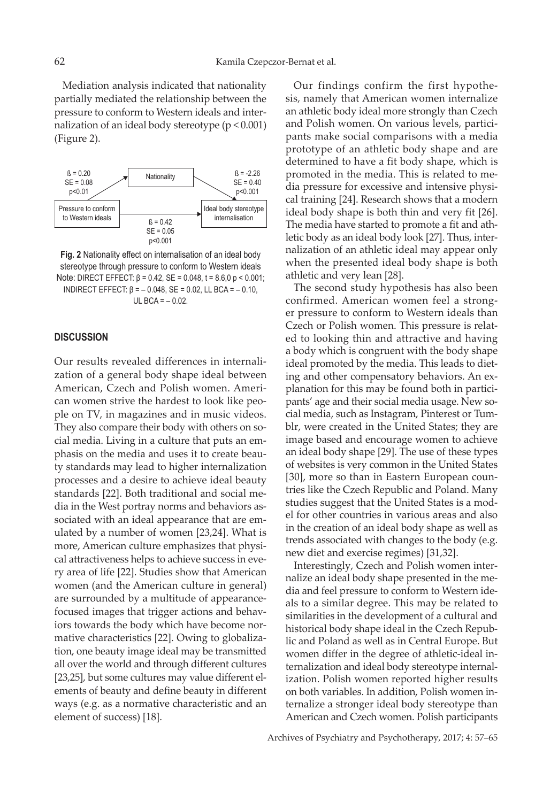Mediation analysis indicated that nationality partially mediated the relationship between the pressure to conform to Western ideals and internalization of an ideal body stereotype (p < 0.001) (Figure 2).



**Fig. 2** Nationality effect on internalisation of an ideal body stereotype through pressure to conform to Western ideals Note: DIRECT EFFECT:  $β = 0.42$ ,  $SE = 0.048$ ,  $t = 8.6$ ,  $0p < 0.001$ ; INDIRECT EFFECT: β = – 0.048, SE = 0.02, LL BCA = – 0.10, UL BCA =  $-0.02$ .

## **DISCUSSION**

Our results revealed differences in internalization of a general body shape ideal between American, Czech and Polish women. American women strive the hardest to look like people on TV, in magazines and in music videos. They also compare their body with others on social media. Living in a culture that puts an emphasis on the media and uses it to create beauty standards may lead to higher internalization processes and a desire to achieve ideal beauty standards [22]. Both traditional and social media in the West portray norms and behaviors associated with an ideal appearance that are emulated by a number of women [23,24]. What is more, American culture emphasizes that physical attractiveness helps to achieve success in every area of life [22]. Studies show that American women (and the American culture in general) are surrounded by a multitude of appearancefocused images that trigger actions and behaviors towards the body which have become normative characteristics [22]. Owing to globalization, one beauty image ideal may be transmitted all over the world and through different cultures [23,25], but some cultures may value different elements of beauty and define beauty in different ways (e.g. as a normative characteristic and an element of success) [18].

Our findings confirm the first hypothesis, namely that American women internalize an athletic body ideal more strongly than Czech and Polish women. On various levels, participants make social comparisons with a media prototype of an athletic body shape and are determined to have a fit body shape, which is promoted in the media. This is related to media pressure for excessive and intensive physical training [24]. Research shows that a modern ideal body shape is both thin and very fit [26]. The media have started to promote a fit and athletic body as an ideal body look [27]. Thus, internalization of an athletic ideal may appear only when the presented ideal body shape is both athletic and very lean [28].

The second study hypothesis has also been confirmed. American women feel a stronger pressure to conform to Western ideals than Czech or Polish women. This pressure is related to looking thin and attractive and having a body which is congruent with the body shape ideal promoted by the media. This leads to dieting and other compensatory behaviors. An explanation for this may be found both in participants' age and their social media usage. New social media, such as Instagram, Pinterest or Tumblr, were created in the United States; they are image based and encourage women to achieve an ideal body shape [29]. The use of these types of websites is very common in the United States [30], more so than in Eastern European countries like the Czech Republic and Poland. Many studies suggest that the United States is a model for other countries in various areas and also in the creation of an ideal body shape as well as trends associated with changes to the body (e.g. new diet and exercise regimes) [31,32].

Interestingly, Czech and Polish women internalize an ideal body shape presented in the media and feel pressure to conform to Western ideals to a similar degree. This may be related to similarities in the development of a cultural and historical body shape ideal in the Czech Republic and Poland as well as in Central Europe. But women differ in the degree of athletic-ideal internalization and ideal body stereotype internalization. Polish women reported higher results on both variables. In addition, Polish women internalize a stronger ideal body stereotype than American and Czech women. Polish participants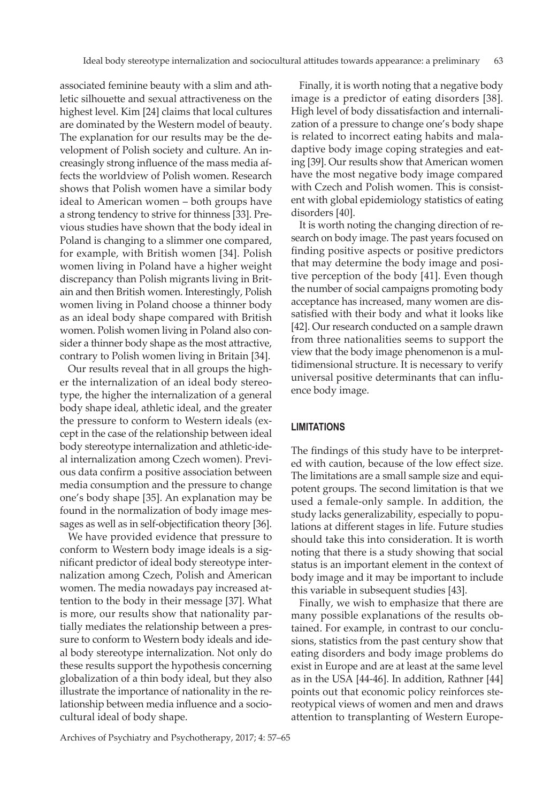associated feminine beauty with a slim and athletic silhouette and sexual attractiveness on the highest level. Kim [24] claims that local cultures are dominated by the Western model of beauty. The explanation for our results may be the development of Polish society and culture. An increasingly strong influence of the mass media affects the worldview of Polish women. Research shows that Polish women have a similar body ideal to American women – both groups have a strong tendency to strive for thinness [33]. Previous studies have shown that the body ideal in Poland is changing to a slimmer one compared, for example, with British women [34]. Polish women living in Poland have a higher weight discrepancy than Polish migrants living in Britain and then British women. Interestingly, Polish women living in Poland choose a thinner body as an ideal body shape compared with British women. Polish women living in Poland also consider a thinner body shape as the most attractive, contrary to Polish women living in Britain [34].

Our results reveal that in all groups the higher the internalization of an ideal body stereotype, the higher the internalization of a general body shape ideal, athletic ideal, and the greater the pressure to conform to Western ideals (except in the case of the relationship between ideal body stereotype internalization and athletic-ideal internalization among Czech women). Previous data confirm a positive association between media consumption and the pressure to change one's body shape [35]. An explanation may be found in the normalization of body image messages as well as in self-objectification theory [36].

We have provided evidence that pressure to conform to Western body image ideals is a significant predictor of ideal body stereotype internalization among Czech, Polish and American women. The media nowadays pay increased attention to the body in their message [37]. What is more, our results show that nationality partially mediates the relationship between a pressure to conform to Western body ideals and ideal body stereotype internalization. Not only do these results support the hypothesis concerning globalization of a thin body ideal, but they also illustrate the importance of nationality in the relationship between media influence and a sociocultural ideal of body shape.

Finally, it is worth noting that a negative body image is a predictor of eating disorders [38]. High level of body dissatisfaction and internalization of a pressure to change one's body shape is related to incorrect eating habits and maladaptive body image coping strategies and eating [39]. Our results show that American women have the most negative body image compared with Czech and Polish women. This is consistent with global epidemiology statistics of eating disorders [40].

It is worth noting the changing direction of research on body image. The past years focused on finding positive aspects or positive predictors that may determine the body image and positive perception of the body [41]. Even though the number of social campaigns promoting body acceptance has increased, many women are dissatisfied with their body and what it looks like [42]. Our research conducted on a sample drawn from three nationalities seems to support the view that the body image phenomenon is a multidimensional structure. It is necessary to verify universal positive determinants that can influence body image.

## **LIMITATIONS**

The findings of this study have to be interpreted with caution, because of the low effect size. The limitations are a small sample size and equipotent groups. The second limitation is that we used a female-only sample. In addition, the study lacks generalizability, especially to populations at different stages in life. Future studies should take this into consideration. It is worth noting that there is a study showing that social status is an important element in the context of body image and it may be important to include this variable in subsequent studies [43].

Finally, we wish to emphasize that there are many possible explanations of the results obtained. For example, in contrast to our conclusions, statistics from the past century show that eating disorders and body image problems do exist in Europe and are at least at the same level as in the USA [44-46]. In addition, Rathner [44] points out that economic policy reinforces stereotypical views of women and men and draws attention to transplanting of Western Europe-

Archives of Psychiatry and Psychotherapy, 2017; 4: 57–65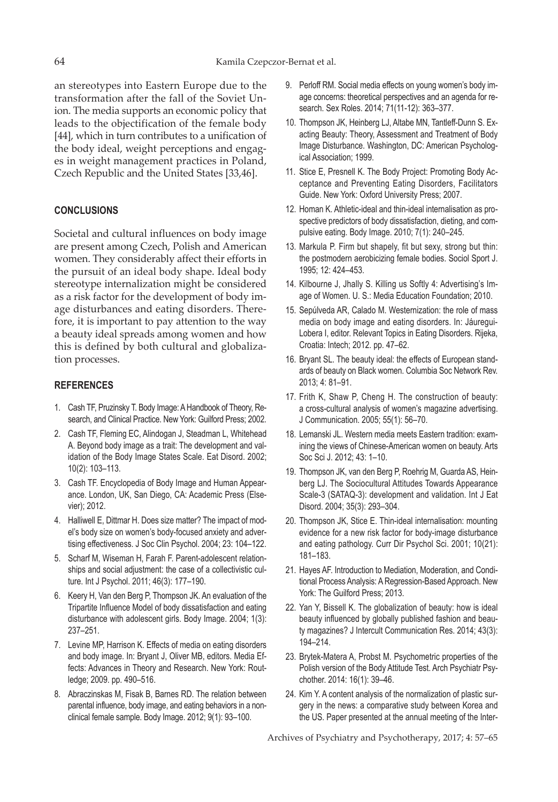an stereotypes into Eastern Europe due to the transformation after the fall of the Soviet Union. The media supports an economic policy that leads to the objectification of the female body [44], which in turn contributes to a unification of the body ideal, weight perceptions and engages in weight management practices in Poland, Czech Republic and the United States [33,46].

# **CONCLUSIONS**

Societal and cultural influences on body image are present among Czech, Polish and American women. They considerably affect their efforts in the pursuit of an ideal body shape. Ideal body stereotype internalization might be considered as a risk factor for the development of body image disturbances and eating disorders. Therefore, it is important to pay attention to the way a beauty ideal spreads among women and how this is defined by both cultural and globalization processes.

## **REFERENCES**

- 1. Cash TF, Pruzinsky T. Body Image: A Handbook of Theory, Research, and Clinical Practice. New York: Guilford Press; 2002.
- 2. Cash TF, Fleming EC, Alindogan J, Steadman L, Whitehead A. Beyond body image as a trait: The development and validation of the Body Image States Scale. Eat Disord. 2002; 10(2): 103–113.
- 3. Cash TF. Encyclopedia of Body Image and Human Appearance. London, UK, San Diego, CA: Academic Press (Elsevier); 2012.
- 4. Halliwell E, Dittmar H. Does size matter? The impact of model's body size on women's body-focused anxiety and advertising effectiveness. J Soc Clin Psychol. 2004; 23: 104–122.
- 5. Scharf M, Wiseman H, Farah F. Parent-adolescent relationships and social adjustment: the case of a collectivistic culture. Int J Psychol. 2011; 46(3): 177–190.
- 6. Keery H, Van den Berg P, Thompson JK. An evaluation of the Tripartite Influence Model of body dissatisfaction and eating disturbance with adolescent girls. Body Image. 2004; 1(3): 237–251.
- 7. Levine MP, Harrison K. Effects of media on eating disorders and body image. In: Bryant J, Oliver MB, editors. Media Effects: Advances in Theory and Research. New York: Routledge; 2009. pp. 490–516.
- 8. Abraczinskas M, Fisak B, Barnes RD. The relation between parental influence, body image, and eating behaviors in a nonclinical female sample. Body Image. 2012; 9(1): 93–100.
- 9. Perloff RM. Social media effects on young women's body image concerns: theoretical perspectives and an agenda for research. Sex Roles. 2014; 71(11-12): 363–377.
- 10. Thompson JK, Heinberg LJ, Altabe MN, Tantleff-Dunn S. Exacting Beauty: Theory, Assessment and Treatment of Body Image Disturbance. Washington, DC: American Psychological Association; 1999.
- 11. Stice E, Presnell K. The Body Project: Promoting Body Acceptance and Preventing Eating Disorders, Facilitators Guide. New York: Oxford University Press; 2007.
- 12. Homan K. Athletic-ideal and thin-ideal internalisation as prospective predictors of body dissatisfaction, dieting, and compulsive eating. Body Image. 2010; 7(1): 240–245.
- 13. Markula P. Firm but shapely, fit but sexy, strong but thin: the postmodern aerobicizing female bodies. Sociol Sport J. 1995; 12: 424–453.
- 14. Kilbourne J, Jhally S. Killing us Softly 4: Advertising's Image of Women. U. S.: Media Education Foundation; 2010.
- 15. Sepúlveda AR, Calado M. Westernization: the role of mass media on body image and eating disorders. In: Jáuregui-Lobera I, editor. Relevant Topics in Eating Disorders. Rijeka, Croatia: Intech; 2012. pp. 47–62.
- 16. Bryant SL. The beauty ideal: the effects of European standards of beauty on Black women. Columbia Soc Network Rev. 2013; 4: 81–91.
- 17. Frith K, Shaw P, Cheng H. The construction of beauty: a cross-cultural analysis of women's magazine advertising. J Communication. 2005; 55(1): 56–70.
- 18. Lemanski JL. Western media meets Eastern tradition: examining the views of Chinese-American women on beauty. Arts Soc Sci J. 2012; 43: 1–10.
- 19. Thompson JK, van den Berg P, Roehrig M, Guarda AS, Heinberg LJ. The Sociocultural Attitudes Towards Appearance Scale-3 (SATAQ-3): development and validation. Int J Eat Disord. 2004; 35(3): 293–304.
- 20. Thompson JK, Stice E. Thin-ideal internalisation: mounting evidence for a new risk factor for body-image disturbance and eating pathology. Curr Dir Psychol Sci. 2001; 10(21): 181–183.
- 21. Hayes AF. Introduction to Mediation, Moderation, and Conditional Process Analysis: A Regression-Based Approach. New York: The Guilford Press; 2013.
- 22. Yan Y, Bissell K. The globalization of beauty: how is ideal beauty influenced by globally published fashion and beauty magazines? J Intercult Communication Res. 2014; 43(3): 194–214.
- 23. Brytek-Matera A, Probst M. Psychometric properties of the Polish version of the Body Attitude Test. Arch Psychiatr Psychother. 2014: 16(1): 39–46.
- 24. Kim Y. A content analysis of the normalization of plastic surgery in the news: a comparative study between Korea and the US. Paper presented at the annual meeting of the Inter-

Archives of Psychiatry and Psychotherapy, 2017; 4: 57–65